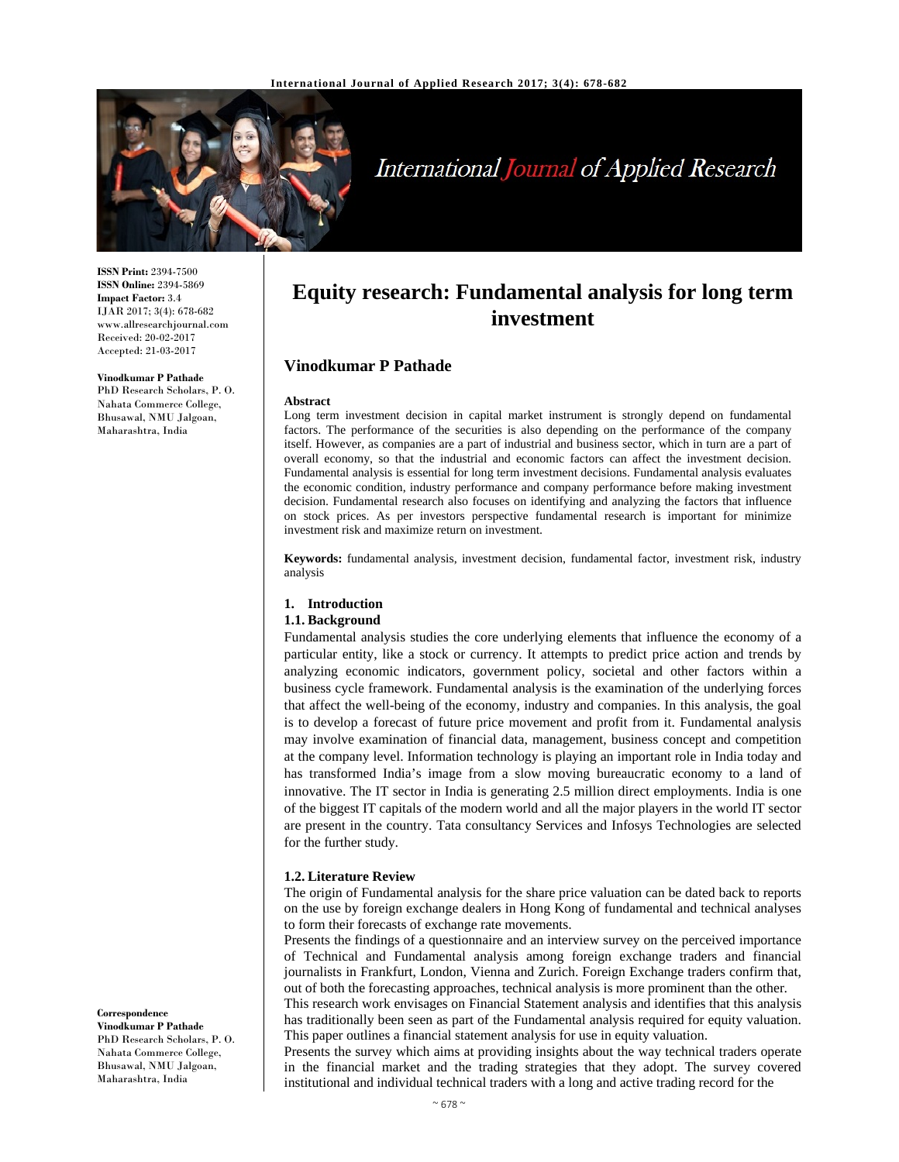

# International Journal of Applied Research

**ISSN Print:** 2394-7500 **ISSN Online:** 2394-5869 **Impact Factor:** 3.4 IJAR 2017; 3(4): 678-682 www.allresearchjournal.com Received: 20-02-2017 Accepted: 21-03-2017

#### **Vinodkumar P Pathade**

PhD Research Scholars, P. O. Nahata Commerce College, Bhusawal, NMU Jalgoan, Maharashtra, India

## **Equity research: Fundamental analysis for long term investment**

## **Vinodkumar P Pathade**

#### **Abstract**

Long term investment decision in capital market instrument is strongly depend on fundamental factors. The performance of the securities is also depending on the performance of the company itself. However, as companies are a part of industrial and business sector, which in turn are a part of overall economy, so that the industrial and economic factors can affect the investment decision. Fundamental analysis is essential for long term investment decisions. Fundamental analysis evaluates the economic condition, industry performance and company performance before making investment decision. Fundamental research also focuses on identifying and analyzing the factors that influence on stock prices. As per investors perspective fundamental research is important for minimize investment risk and maximize return on investment.

**Keywords:** fundamental analysis, investment decision, fundamental factor, investment risk, industry analysis

## **1. Introduction**

#### **1.1. Background**

Fundamental analysis studies the core underlying elements that influence the economy of a particular entity, like a stock or currency. It attempts to predict price action and trends by analyzing economic indicators, government policy, societal and other factors within a business cycle framework. Fundamental analysis is the examination of the underlying forces that affect the well-being of the economy, industry and companies. In this analysis, the goal is to develop a forecast of future price movement and profit from it. Fundamental analysis may involve examination of financial data, management, business concept and competition at the company level. Information technology is playing an important role in India today and has transformed India's image from a slow moving bureaucratic economy to a land of innovative. The IT sector in India is generating 2.5 million direct employments. India is one of the biggest IT capitals of the modern world and all the major players in the world IT sector are present in the country. Tata consultancy Services and Infosys Technologies are selected for the further study.

#### **1.2. Literature Review**

The origin of Fundamental analysis for the share price valuation can be dated back to reports on the use by foreign exchange dealers in Hong Kong of fundamental and technical analyses to form their forecasts of exchange rate movements.

Presents the findings of a questionnaire and an interview survey on the perceived importance of Technical and Fundamental analysis among foreign exchange traders and financial journalists in Frankfurt, London, Vienna and Zurich. Foreign Exchange traders confirm that, out of both the forecasting approaches, technical analysis is more prominent than the other.

This research work envisages on Financial Statement analysis and identifies that this analysis has traditionally been seen as part of the Fundamental analysis required for equity valuation. This paper outlines a financial statement analysis for use in equity valuation.

Presents the survey which aims at providing insights about the way technical traders operate in the financial market and the trading strategies that they adopt. The survey covered institutional and individual technical traders with a long and active trading record for the

#### **Correspondence**

**Vinodkumar P Pathade**  PhD Research Scholars, P. O. Nahata Commerce College, Bhusawal, NMU Jalgoan, Maharashtra, India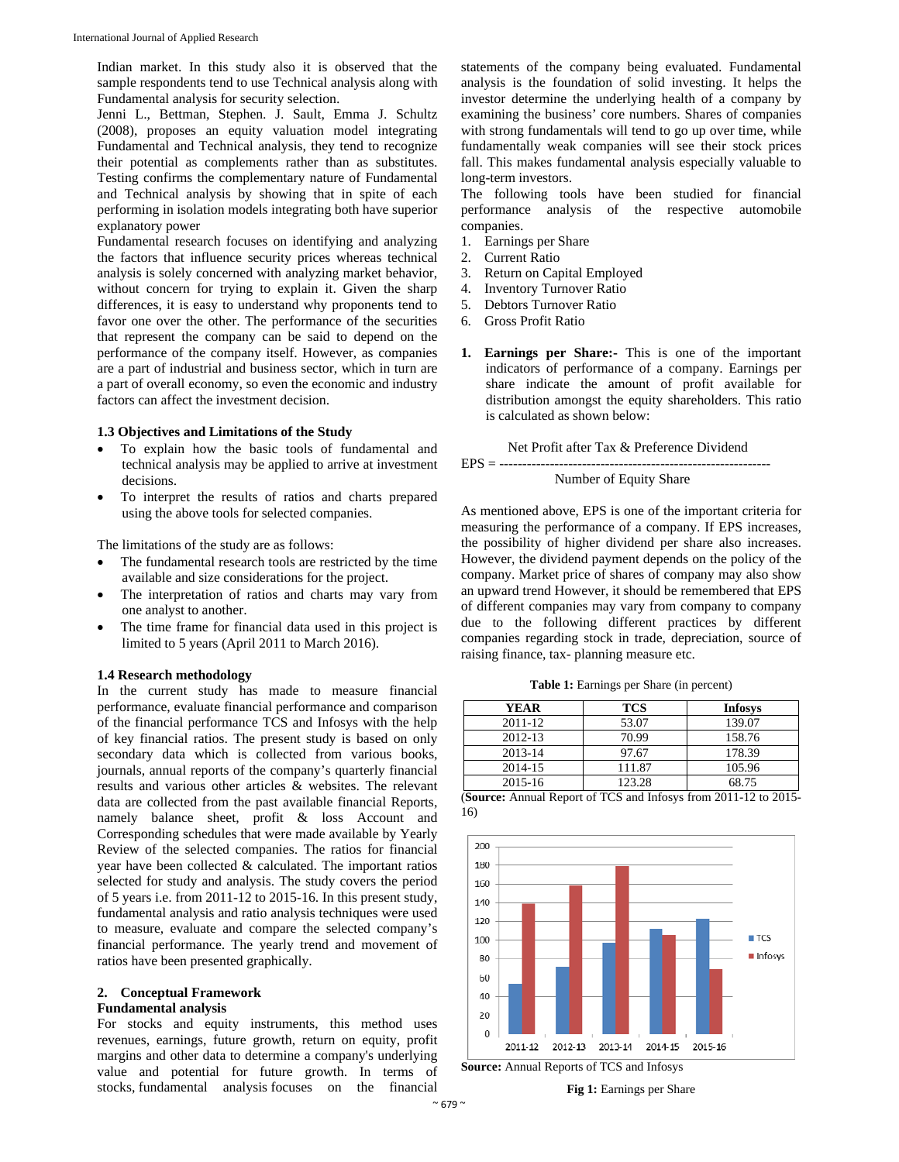Indian market. In this study also it is observed that the sample respondents tend to use Technical analysis along with Fundamental analysis for security selection.

Jenni L., Bettman, Stephen. J. Sault, Emma J. Schultz (2008), proposes an equity valuation model integrating Fundamental and Technical analysis, they tend to recognize their potential as complements rather than as substitutes. Testing confirms the complementary nature of Fundamental and Technical analysis by showing that in spite of each performing in isolation models integrating both have superior explanatory power

Fundamental research focuses on identifying and analyzing the factors that influence security prices whereas technical analysis is solely concerned with analyzing market behavior, without concern for trying to explain it. Given the sharp differences, it is easy to understand why proponents tend to favor one over the other. The performance of the securities that represent the company can be said to depend on the performance of the company itself. However, as companies are a part of industrial and business sector, which in turn are a part of overall economy, so even the economic and industry factors can affect the investment decision.

#### **1.3 Objectives and Limitations of the Study**

- To explain how the basic tools of fundamental and technical analysis may be applied to arrive at investment decisions.
- To interpret the results of ratios and charts prepared using the above tools for selected companies.

The limitations of the study are as follows:

- The fundamental research tools are restricted by the time available and size considerations for the project.
- The interpretation of ratios and charts may vary from one analyst to another.
- The time frame for financial data used in this project is limited to 5 years (April 2011 to March 2016).

#### **1.4 Research methodology**

In the current study has made to measure financial performance, evaluate financial performance and comparison of the financial performance TCS and Infosys with the help of key financial ratios. The present study is based on only secondary data which is collected from various books, journals, annual reports of the company's quarterly financial results and various other articles & websites. The relevant data are collected from the past available financial Reports, namely balance sheet, profit & loss Account and Corresponding schedules that were made available by Yearly Review of the selected companies. The ratios for financial year have been collected & calculated. The important ratios selected for study and analysis. The study covers the period of 5 years i.e. from 2011-12 to 2015-16. In this present study, fundamental analysis and ratio analysis techniques were used to measure, evaluate and compare the selected company's financial performance. The yearly trend and movement of ratios have been presented graphically.

#### **2. Conceptual Framework**

## **Fundamental analysis**

For stocks and equity instruments, this method uses revenues, earnings, future growth, return on equity, profit margins and other data to determine a company's underlying value and potential for future growth. In terms of stocks, fundamental analysis focuses on the financial

statements of the company being evaluated. Fundamental analysis is the foundation of solid investing. It helps the investor determine the underlying health of a company by examining the business' core numbers. Shares of companies with strong fundamentals will tend to go up over time, while fundamentally weak companies will see their stock prices fall. This makes fundamental analysis especially valuable to long-term investors.

The following tools have been studied for financial performance analysis of the respective automobile companies.

- 1. Earnings per Share
- 2. Current Ratio
- 3. Return on Capital Employed
- 4. Inventory Turnover Ratio
- 5. Debtors Turnover Ratio
- 6. Gross Profit Ratio
- **1. Earnings per Share:-** This is one of the important indicators of performance of a company. Earnings per share indicate the amount of profit available for distribution amongst the equity shareholders. This ratio is calculated as shown below:

Net Profit after Tax & Preference Dividend

#### EPS = ----------------------------------------------------------- Number of Equity Share

As mentioned above, EPS is one of the important criteria for measuring the performance of a company. If EPS increases, the possibility of higher dividend per share also increases. However, the dividend payment depends on the policy of the company. Market price of shares of company may also show an upward trend However, it should be remembered that EPS of different companies may vary from company to company due to the following different practices by different companies regarding stock in trade, depreciation, source of raising finance, tax- planning measure etc.

**Table 1:** Earnings per Share (in percent)

| YEAR    | <b>TCS</b> | <b>Infosys</b> |
|---------|------------|----------------|
| 2011-12 | 53.07      | 139.07         |
| 2012-13 | 70.99      | 158.76         |
| 2013-14 | 97.67      | 178.39         |
| 2014-15 | 111.87     | 105.96         |
| 2015-16 | 123.28     | 68.75          |

(**Source:** Annual Report of TCS and Infosys from 2011-12 to 2015- 16)



**Source:** Annual Reports of TCS and Infosys

**Fig 1:** Earnings per Share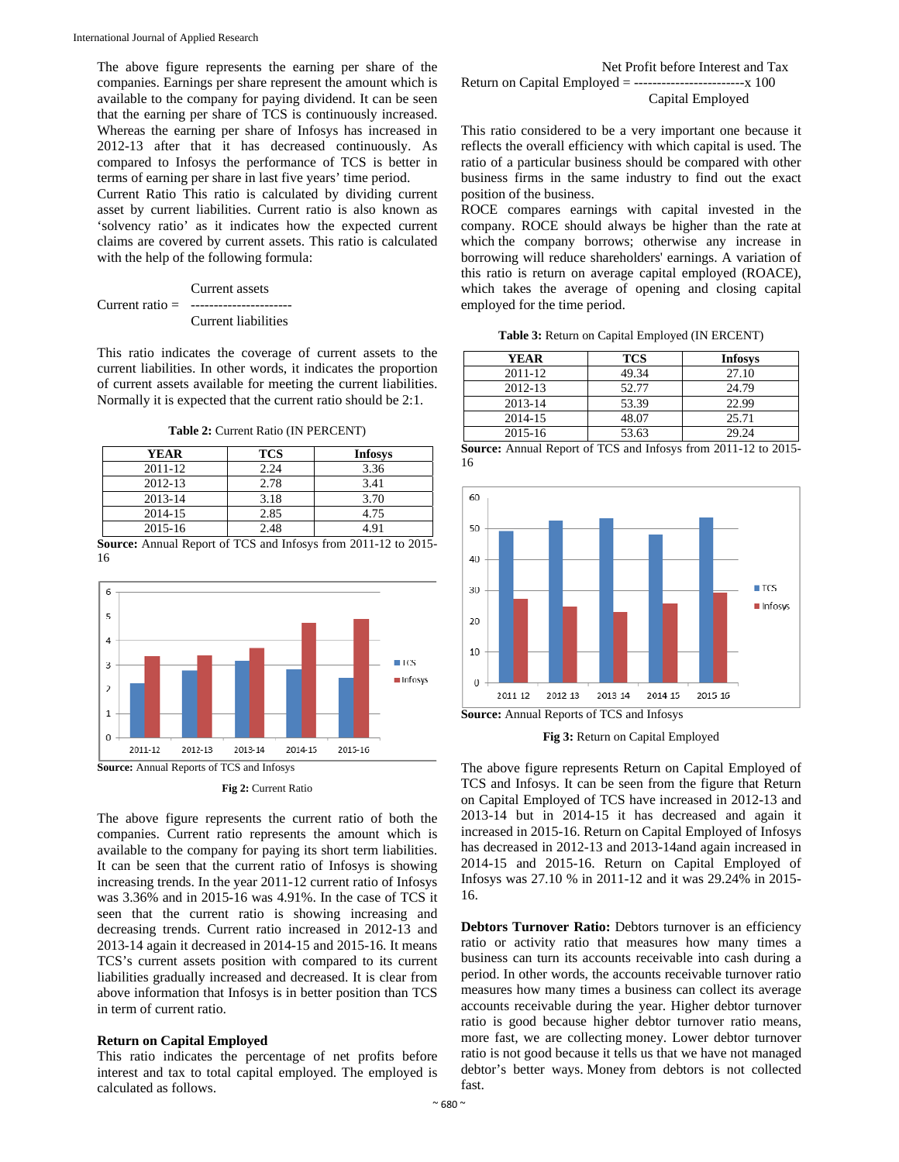The above figure represents the earning per share of the companies. Earnings per share represent the amount which is available to the company for paying dividend. It can be seen that the earning per share of TCS is continuously increased. Whereas the earning per share of Infosys has increased in 2012-13 after that it has decreased continuously. As compared to Infosys the performance of TCS is better in terms of earning per share in last five years' time period.

Current Ratio This ratio is calculated by dividing current asset by current liabilities. Current ratio is also known as 'solvency ratio' as it indicates how the expected current claims are covered by current assets. This ratio is calculated with the help of the following formula:

#### Current assets Current ratio = ---------------------- Current liabilities

This ratio indicates the coverage of current assets to the current liabilities. In other words, it indicates the proportion of current assets available for meeting the current liabilities. Normally it is expected that the current ratio should be 2:1.

**Table 2:** Current Ratio (IN PERCENT)

| <b>YEAR</b> | TCS  | <b>Infosys</b> |
|-------------|------|----------------|
| 2011-12     | 2.24 | 3.36           |
| 2012-13     | 2.78 | 3.41           |
| 2013-14     | 3.18 | 3.70           |
| 2014-15     | 2.85 | 4.75           |
| 2015-16     | 2.48 | 4.91           |

**Source:** Annual Report of TCS and Infosys from 2011-12 to 2015- 16



**Fig 2:** Current Ratio

The above figure represents the current ratio of both the companies. Current ratio represents the amount which is available to the company for paying its short term liabilities. It can be seen that the current ratio of Infosys is showing increasing trends. In the year 2011-12 current ratio of Infosys was 3.36% and in 2015-16 was 4.91%. In the case of TCS it seen that the current ratio is showing increasing and decreasing trends. Current ratio increased in 2012-13 and 2013-14 again it decreased in 2014-15 and 2015-16. It means TCS's current assets position with compared to its current liabilities gradually increased and decreased. It is clear from above information that Infosys is in better position than TCS in term of current ratio.

#### **Return on Capital Employed**

This ratio indicates the percentage of net profits before interest and tax to total capital employed. The employed is calculated as follows.

#### Net Profit before Interest and Tax Return on Capital Employed = ------------------------x 100 Capital Employed

This ratio considered to be a very important one because it reflects the overall efficiency with which capital is used. The ratio of a particular business should be compared with other business firms in the same industry to find out the exact position of the business.

ROCE compares earnings with capital invested in the company. ROCE should always be higher than the rate at which the company borrows; otherwise any increase in borrowing will reduce shareholders' earnings. A variation of this ratio is return on average capital employed (ROACE), which takes the average of opening and closing capital employed for the time period.

**Table 3:** Return on Capital Employed (IN ERCENT)

| YEAR        | TCS   | <b>Infosys</b> |
|-------------|-------|----------------|
| 2011-12     | 49.34 | 27.10          |
| 2012-13     | 52.77 | 24.79          |
| 2013-14     | 53.39 | 22.99          |
| 2014-15     | 48.07 | 25.71          |
| $2015 - 16$ | 53.63 | 29.24          |

**Source:** Annual Report of TCS and Infosys from 2011-12 to 2015- 16



**Fig 3:** Return on Capital Employed

The above figure represents Return on Capital Employed of TCS and Infosys. It can be seen from the figure that Return on Capital Employed of TCS have increased in 2012-13 and 2013-14 but in 2014-15 it has decreased and again it increased in 2015-16. Return on Capital Employed of Infosys has decreased in 2012-13 and 2013-14and again increased in 2014-15 and 2015-16. Return on Capital Employed of Infosys was 27.10 % in 2011-12 and it was 29.24% in 2015- 16.

**Debtors Turnover Ratio:** Debtors turnover is an efficiency ratio or activity ratio that measures how many times a business can turn its accounts receivable into cash during a period. In other words, the accounts receivable turnover ratio measures how many times a business can collect its average accounts receivable during the year. Higher debtor turnover ratio is good because higher debtor turnover ratio means, more fast, we are collecting money. Lower debtor turnover ratio is not good because it tells us that we have not managed debtor's better ways. Money from debtors is not collected fast.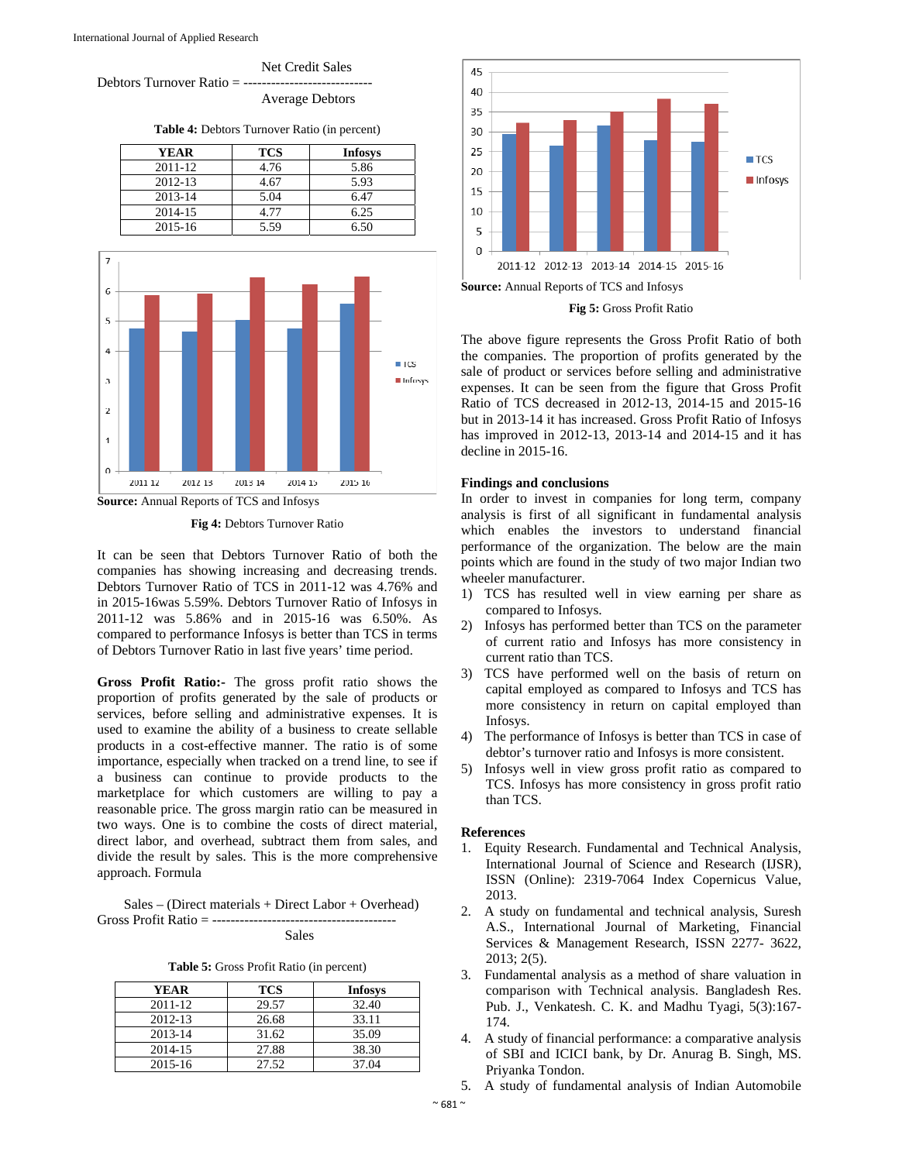

**Table 4:** Debtors Turnover Ratio (in percent)

| <b>YEAR</b> | <b>TCS</b> | <b>Infosys</b> |
|-------------|------------|----------------|
| 2011-12     | 4.76       | 5.86           |
| 2012-13     | 4.67       | 5.93           |
| 2013-14     | 5.04       | 6.47           |
| 2014-15     | 4.77       | 6.25           |
| 2015-16     | 5.59       | 6.50           |



**Source:** Annual Reports of TCS and Infosys

**Fig 4:** Debtors Turnover Ratio

It can be seen that Debtors Turnover Ratio of both the companies has showing increasing and decreasing trends. Debtors Turnover Ratio of TCS in 2011-12 was 4.76% and in 2015-16was 5.59%. Debtors Turnover Ratio of Infosys in 2011-12 was 5.86% and in 2015-16 was 6.50%. As compared to performance Infosys is better than TCS in terms of Debtors Turnover Ratio in last five years' time period.

**Gross Profit Ratio:-** The gross profit ratio shows the proportion of profits generated by the sale of products or services, before selling and administrative expenses. It is used to examine the ability of a business to create sellable products in a cost-effective manner. The ratio is of some importance, especially when tracked on a trend line, to see if a business can continue to provide products to the marketplace for which customers are willing to pay a reasonable price. The gross margin ratio can be measured in two ways. One is to combine the costs of direct material, direct labor, and overhead, subtract them from sales, and divide the result by sales. This is the more comprehensive approach. Formula

 Sales – (Direct materials + Direct Labor + Overhead) Gross Profit Ratio = ----------------------------------------

Sales

**Table 5:** Gross Profit Ratio (in percent)

| <b>YEAR</b> | <b>TCS</b> | <b>Infosys</b> |
|-------------|------------|----------------|
| 2011-12     | 29.57      | 32.40          |
| 2012-13     | 26.68      | 33.11          |
| 2013-14     | 31.62      | 35.09          |
| 2014-15     | 27.88      | 38.30          |
| 2015-16     | 27.52      | 37.04          |



**Fig 5:** Gross Profit Ratio

The above figure represents the Gross Profit Ratio of both the companies. The proportion of profits generated by the sale of product or services before selling and administrative expenses. It can be seen from the figure that Gross Profit Ratio of TCS decreased in 2012-13, 2014-15 and 2015-16 but in 2013-14 it has increased. Gross Profit Ratio of Infosys has improved in 2012-13, 2013-14 and 2014-15 and it has decline in 2015-16.

#### **Findings and conclusions**

In order to invest in companies for long term, company analysis is first of all significant in fundamental analysis which enables the investors to understand financial performance of the organization. The below are the main points which are found in the study of two major Indian two wheeler manufacturer.

- 1) TCS has resulted well in view earning per share as compared to Infosys.
- 2) Infosys has performed better than TCS on the parameter of current ratio and Infosys has more consistency in current ratio than TCS.
- 3) TCS have performed well on the basis of return on capital employed as compared to Infosys and TCS has more consistency in return on capital employed than Infosys.
- 4) The performance of Infosys is better than TCS in case of debtor's turnover ratio and Infosys is more consistent.
- 5) Infosys well in view gross profit ratio as compared to TCS. Infosys has more consistency in gross profit ratio than TCS.

#### **References**

- 1. Equity Research. Fundamental and Technical Analysis, International Journal of Science and Research (IJSR), ISSN (Online): 2319-7064 Index Copernicus Value, 2013.
- 2. A study on fundamental and technical analysis, Suresh A.S., International Journal of Marketing, Financial Services & Management Research, ISSN 2277- 3622, 2013; 2(5).
- 3. Fundamental analysis as a method of share valuation in comparison with Technical analysis. Bangladesh Res. Pub. J., Venkatesh. C. K. and Madhu Tyagi, 5(3):167- 174.
- 4. A study of financial performance: a comparative analysis of SBI and ICICI bank, by Dr. Anurag B. Singh, MS. Priyanka Tondon.
- 5. A study of fundamental analysis of Indian Automobile